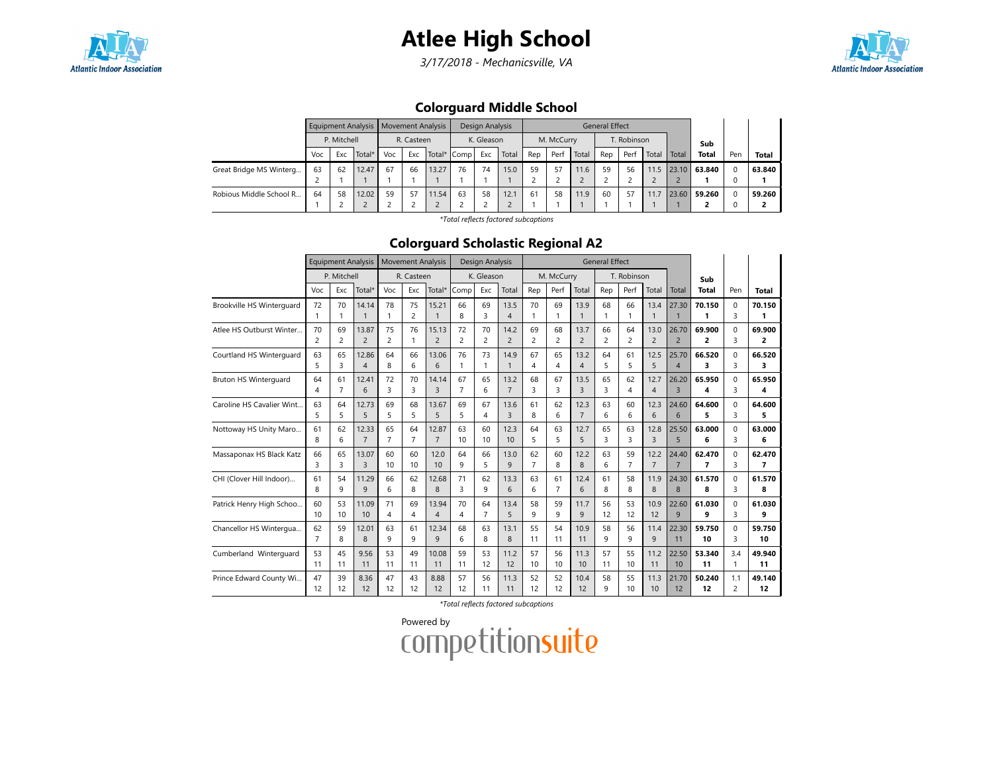# Atlee High School

3/17/2018 - Mechanicsville, VA



### Colorguard Middle School

|                         |     |             | Equipment Analysis   Movement Analysis |     |            |             |    | Design Analysis |       |     |            |       | <b>General Effect</b> |             |       |       |              |     |              |
|-------------------------|-----|-------------|----------------------------------------|-----|------------|-------------|----|-----------------|-------|-----|------------|-------|-----------------------|-------------|-------|-------|--------------|-----|--------------|
|                         |     | P. Mitchell |                                        |     | R. Casteen |             |    | K. Gleason      |       |     | M. McCurry |       |                       | T. Robinson |       |       | Sub          |     |              |
|                         | Voc | Exc         | Total*                                 | Voc | Exc        | Total* Comp |    | Exc             | Total | Rep | Perf       | Total | Rep                   | Perf        | Total | Total | <b>Total</b> | Pen | <b>Total</b> |
| Great Bridge MS Winterg | 63  | 62          | 12.47                                  | 67  | 66         | 13.27       | 76 | 74              | 15.0  | 59  | 57         | 11.6  | 59                    | 56          | 11.5  | 23.10 | 63.840       |     | 63.840       |
|                         |     |             |                                        |     |            |             |    |                 |       |     |            |       |                       |             |       |       |              |     |              |
| Robious Middle School R | 64  | 58          | 12.02                                  | 59  | 57         | 11.54       | 63 | 58              | 12.1  | 61  | 58         | 11.9  | 60                    | 57          | 11.7  | 23.60 | 59.260       |     | 59.260       |
|                         |     |             |                                        |     |            |             |    |                 |       |     |            |       |                       |             |       |       |              |     |              |

\*Total reflects factored subcaptions

### Colorguard Scholastic Regional A2

|                              |                |                | Equipment Analysis      |                |                | <b>Movement Analysis</b> |                | <b>Design Analysis</b> |                      |                |                |                        | <b>General Effect</b> |                |                |                         |                |                |              |
|------------------------------|----------------|----------------|-------------------------|----------------|----------------|--------------------------|----------------|------------------------|----------------------|----------------|----------------|------------------------|-----------------------|----------------|----------------|-------------------------|----------------|----------------|--------------|
|                              |                | P. Mitchell    |                         |                | R. Casteen     |                          |                | K. Gleason             |                      |                | M. McCurry     |                        |                       | T. Robinson    |                |                         | Sub            |                |              |
|                              | Voc            | Exc            | Total*                  | Voc            | Exc            | Total*                   | Comp           | Exc                    | Total                | Rep            | Perf           | Total                  | Rep                   | Perf           | Total          | Total                   | <b>Total</b>   | Pen            | Total        |
| Brookville HS Winterguard    | 72             | 70             | 14.14                   | 78             | 75             | 15.21                    | 66             | 69                     | 13.5                 | 70             | 69             | 13.9                   | 68                    | 66             | 13.4           | 27.30                   | 70.150         | $\Omega$       | 70.150       |
|                              | 1              |                | $\mathbf{1}$            | $\mathbf{1}$   | $\overline{c}$ | $\overline{1}$           | 8              | 3                      | $\overline{4}$       | $\mathbf{1}$   |                | $\mathbf{1}$           |                       | 1              | $\mathbf{1}$   |                         | 1              | 3              | 1            |
| Atlee HS Outburst Winter     | 70             | 69             | 13.87                   | 75             | 76             | 15.13                    | 72             | 70                     | 14.2                 | 69             | 68             | 13.7                   | 66                    | 64             | 13.0           | 26.70                   | 69.900         | $\Omega$       | 69.900       |
|                              | 2              | $\overline{c}$ | $\overline{2}$          | $\overline{c}$ | $\mathbf{1}$   | $\overline{c}$           | $\overline{2}$ | 2                      | $\overline{2}$       | $\overline{c}$ | $\overline{c}$ | $\overline{2}$         | 2                     | $\overline{c}$ | $\overline{c}$ | $\overline{2}$          | 2              | 3              | 2            |
| Courtland HS Winterquard     | 63<br>5        | 65<br>3        | 12.86<br>$\overline{4}$ | 64<br>8        | 66<br>6        | 13.06<br>6               | 76             | 73<br>1                | 14.9<br>$\mathbf{1}$ | 67<br>4        | 65<br>4        | 13.2<br>$\overline{4}$ | 64<br>5               | 61<br>5        | 12.5<br>5      | 25.70<br>$\overline{4}$ | 66.520<br>3    | $\Omega$<br>3  | 66.520<br>3  |
| <b>Bruton HS Winterquard</b> | 64             | 61             | 12.41                   | 72             | 70             | 14.14                    | 67             | 65                     | 13.2                 | 68             | 67             | 13.5                   | 65                    | 62             | 12.7           | 26.20                   | 65.950         | $\Omega$       | 65.950       |
|                              | 4              | $\overline{7}$ | $6\overline{6}$         | 3              | 3              | $\overline{3}$           | $\overline{7}$ | 6                      | $\overline{7}$       | 3              | 3              | $\overline{3}$         | 3                     | 4              | $\overline{4}$ | $\overline{3}$          | 4              | 3              | 4            |
| Caroline HS Cavalier Wint    | 63             | 64             | 12.73                   | 69             | 68             | 13.67                    | 69             | 67                     | 13.6                 | 61             | 62             | 12.3                   | 63                    | 60             | 12.3           | 24.60                   | 64.600         | $\Omega$       | 64.600       |
|                              | 5              | 5              | 5                       | 5              | 5              | 5                        | 5              | 4                      | $\overline{3}$       | 8              | 6              | $\overline{7}$         | 6                     | 6              | 6              | 6                       | 5              | 3              | 5            |
| Nottoway HS Unity Maro       | 61             | 62             | 12.33                   | 65             | 64             | 12.87                    | 63             | 60                     | 12.3                 | 64             | 63             | 12.7                   | 65                    | 63             | 12.8           | 25.50                   | 63.000         | $\Omega$       | 63.000       |
|                              | 8              | 6              | $\overline{7}$          | $\overline{7}$ | $\overline{7}$ | $\overline{7}$           | 10             | 10                     | 10                   | 5              | 5              | 5                      | 3                     | 3              | $\overline{3}$ | 5                       | 6              | 3              | 6            |
| Massaponax HS Black Katz     | 66             | 65             | 13.07                   | 60             | 60             | 12.0                     | 64             | 66                     | 13.0                 | 62             | 60             | 12.2                   | 63                    | 59             | 12.2           | 24.40                   | 62.470         | $\Omega$       | 62.470       |
|                              | 3              | 3              | 3                       | 10             | 10             | 10                       | 9              | 5                      | 9                    | $\overline{7}$ | 8              | 8                      | 6                     | $\overline{7}$ | $\overline{7}$ | $\overline{7}$          | $\overline{7}$ | 3              | 7            |
| CHI (Clover Hill Indoor)     | 61             | 54             | 11.29                   | 66             | 62             | 12.68                    | 71             | 62                     | 13.3                 | 63             | 61             | 12.4                   | 61                    | 58             | 11.9           | 24.30                   | 61.570         | $\Omega$       | 61.570       |
|                              | 8              | 9              | 9                       | 6              | 8              | 8                        | 3              | 9                      | 6                    | 6              | $\overline{7}$ | 6                      | 8                     | 8              | 8              | 8                       | 8              | 3              | 8            |
| Patrick Henry High Schoo     | 60             | 53             | 11.09                   | 71             | 69             | 13.94                    | 70             | 64                     | 13.4                 | 58             | 59             | 11.7                   | 56                    | 53             | 10.9           | 22.60                   | 61.030         | $\Omega$       | 61.030       |
|                              | 10             | 10             | 10                      | 4              | 4              | $\overline{\mathcal{A}}$ | 4              | $\overline{7}$         | 5                    | 9              | 9              | $\mathsf{q}$           | 12                    | 12             | 12             | 9                       | q              | 3              | 9            |
| Chancellor HS Wintergua      | 62             | 59             | 12.01                   | 63             | 61             | 12.34                    | 68             | 63                     | 13.1                 | 55             | 54             | 10.9                   | 58                    | 56             | 11.4           | 22.30                   | 59.750         | $\Omega$       | 59.750       |
|                              | $\overline{7}$ | 8              | 8                       | 9              | 9              | $\mathsf{Q}$             | 6              | 8                      | 8                    | 11             | 11             | 11                     | 9                     | 9              | 9              | 11                      | 10             | 3              | 10           |
| Cumberland Winterquard       | 53             | 45             | 9.56                    | 53             | 49             | 10.08                    | 59             | 53                     | 11.2                 | 57             | 56             | 11.3                   | 57                    | 55             | 11.2           | 22.50                   | 53.340         | 3.4            | 49.940       |
|                              | 11             | 11             | 11                      | 11             | 11             | 11                       | 11             | 12                     | 12                   | 10             | 10             | 10                     | 11                    | 10             | 11             | 10                      | 11             | 1              | 11           |
| Prince Edward County Wi      | 47             | 39             | 8.36<br>12              | 47             | 43             | 8.88                     | 57             | 56                     | 11.3                 | 52             | 52             | 10.4                   | 58                    | 55             | 11.3           | 21.70<br>12             | 50.240<br>12   | 1.1            | 49.140<br>12 |
|                              | 12             | 12             |                         | 12             | 12             | 12                       | 12             | 11                     | 11                   | 12             | 12             | 12                     | q                     | 10             | 10             |                         |                | $\overline{2}$ |              |

\*Total reflects factored subcaptions

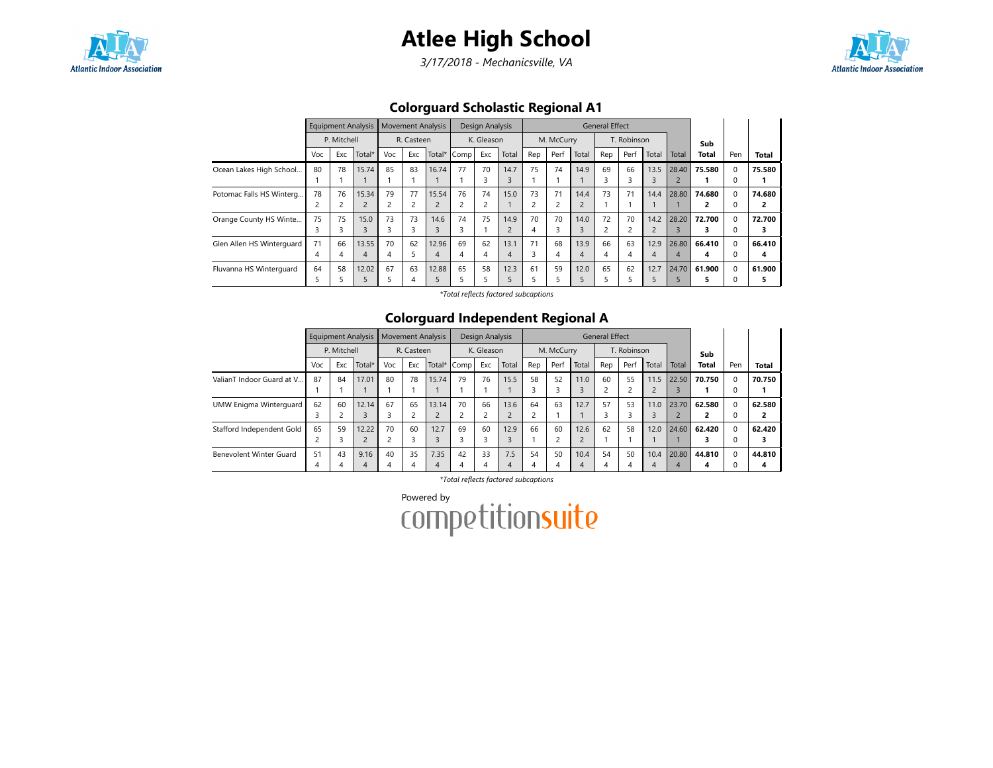

3/17/2018 - Mechanicsville, VA



### Colorguard Scholastic Regional A1

|                           |     |                | Equipment Analysis |     |            | <b>Movement Analysis</b> |             | <b>Design Analysis</b> |                |                |            |                | <b>General Effect</b> |             |                |                |              |          |        |
|---------------------------|-----|----------------|--------------------|-----|------------|--------------------------|-------------|------------------------|----------------|----------------|------------|----------------|-----------------------|-------------|----------------|----------------|--------------|----------|--------|
|                           |     | P. Mitchell    |                    |     | R. Casteen |                          |             | K. Gleason             |                |                | M. McCurry |                |                       | T. Robinson |                |                | Sub          |          |        |
|                           | Voc | Exc            | Total*             | Voc | Exc        |                          | Total* Comp | Exc                    | Total          | Rep            | Perf       | Total          | Rep                   | Perf        | Total          | Total          | <b>Total</b> | Pen      | Total  |
| Ocean Lakes High School   | 80  | 78             | 15.74              | 85  | 83         | 16.74                    | 77          | 70                     | 14.7           | 75             | 74         | 14.9           | 69                    | 66          | 13.5           | 28.40          | 75.580       |          | 75.580 |
|                           |     |                |                    |     |            |                          |             | <b>n</b><br>3          | 3              |                |            |                |                       | 3           | 3              | $\overline{2}$ |              |          |        |
| Potomac Falls HS Winterg  | 78  | 76             | 15.34              | 79  | 77         | 15.54                    | 76          | 74                     | 15.0           | 73             | 71         | 14.4           | 73                    | 71          | 14.4           | 28.80          | 74.680       | $\Omega$ | 74.680 |
|                           | 2   | $\overline{c}$ | $\overline{2}$     | 2   |            |                          | 2           | 2                      |                | $\overline{2}$ |            |                |                       |             |                |                | 2            |          | 2      |
| Orange County HS Winte    | 75  | 75             | 15.0               | 73  | 73         | 14.6                     | 74          | 75                     | 14.9           | 70             | 70         | 14.0           | 72                    | 70          | 14.2           | 28.20          | 72.700       |          | 72.700 |
|                           | 3   | 3              | 3                  | 3   | 3          | 3                        | 3           |                        | $\overline{2}$ | $\overline{4}$ | З          | 3              |                       |             | $\overline{c}$ |                |              |          |        |
| Glen Allen HS Winterquard | 71  | 66             | 13.55              | 70  | 62         | 12.96                    | 69          | 62                     | 13.1           | 71             | 68         | 13.9           | 66                    | 63          | 12.9           | 26.80          | 66.410       |          | 66.410 |
|                           | 4   | 4              | $\overline{4}$     | 4   |            | 4                        | 4           | 4                      | 4              | 3              | 4          | $\overline{A}$ | 4                     | 4           | 4              | 4              | 4            |          | 4      |
| Fluvanna HS Winterquard   | 64  | 58             | 12.02              | 67  | 63         | 12.88                    | 65          | 58                     | 12.3           | 61             | 59         | 12.0           | 65                    | 62          | 12.7           | 24.70          | 61.900       |          | 61.900 |
|                           |     |                |                    | 5   | 4          |                          |             |                        |                | 5              |            |                |                       |             |                |                |              |          | 5      |

\*Total reflects factored subcaptions

### Colorguard Independent Regional A

|                           |               |             | Equipment Analysis |     | <b>Movement Analysis</b> |       |             | Design Analysis |           |                |            |       | <b>General Effect</b> |             |               |       |              |              |                |
|---------------------------|---------------|-------------|--------------------|-----|--------------------------|-------|-------------|-----------------|-----------|----------------|------------|-------|-----------------------|-------------|---------------|-------|--------------|--------------|----------------|
|                           |               | P. Mitchell |                    |     | R. Casteen               |       |             | K. Gleason      |           |                | M. McCurry |       |                       | T. Robinson |               |       | Sub          |              |                |
|                           | Voc           | Exc         | Total*             | Voc | Exc                      |       | Total* Comp | Exc             | Total     | Rep            | Perf       | Total | Rep                   | Perf        | Total         | Total | <b>Total</b> | Pen          | <b>Total</b>   |
| ValianT Indoor Guard at V | 87            | 84          | 17.01              | 80  | 78                       | 15.74 | 79          | 76              | 15.5      | 58             | 52         | 11.0  | 60                    | 55          | 11.5          | 22.50 | 70.750       | 0            | 70.750         |
|                           |               |             |                    |     |                          |       |             |                 |           |                |            | 3     |                       |             |               |       |              | O            |                |
| UMW Enigma Winterguard    | 62            | 60          | 12.14              | 67  | 65                       | 13.14 | 70          | 66              | 13.6      | 64             | 63         | 12.7  | 57                    | 53          | 11.0          | 23.70 | 62.580       | $\Omega$     | 62.580         |
|                           | 3             |             |                    | ς   |                          |       |             | $\sim$          | $\bigcap$ | $\overline{2}$ |            |       |                       |             | $\rightarrow$ |       |              | $\mathbf{U}$ | $\overline{2}$ |
| Stafford Independent Gold | 65            | 59          | 12.22              | 70  | 60                       | 12.7  | 69          | 60              | 12.9      | 66             | 60         | 12.6  | 62                    | 58          | 12.0          | 24.60 | 62.420       | $\Omega$     | 62.420         |
|                           | $\mathcal{L}$ |             | $\overline{c}$     |     |                          |       |             | 3               |           |                | h          |       |                       |             |               |       |              |              | 3              |
| Benevolent Winter Guard   | 51            | 43          | 9.16               | 40  | 35                       | 7.35  | 42          | 33              | 7.5       | 54             | 50         | 10.4  | 54                    | 50          | 10.4          | 20.80 | 44.810       | 0            | 44.810         |
|                           | 4             |             | 4                  | 4   | 4                        | 4     |             | 4               | 4         | 4              | 4          | 4     | 4                     | 4           | 4             | 4     | 4            |              | 4              |

\*Total reflects factored subcaptions

Powered by<br>COMPetitionsuite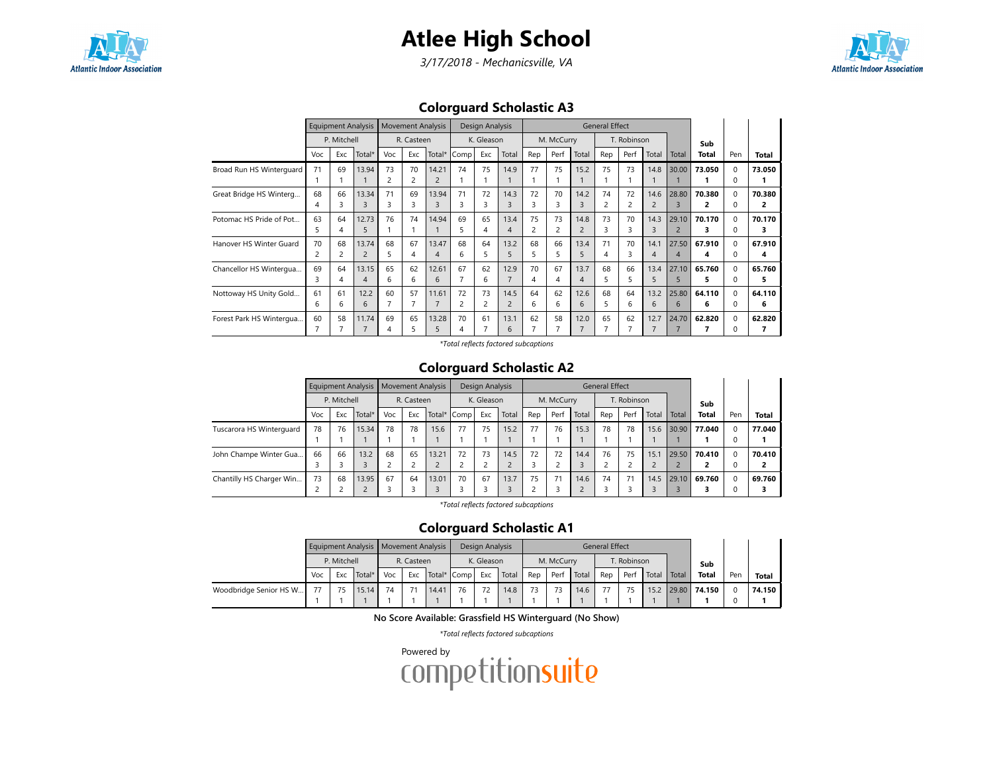## Atlee High School



3/17/2018 - Mechanicsville, VA



### Colorguard Scholastic A3

|                          |     | <b>Equipment Analysis</b> |                |                | <b>Movement Analysis</b> |                |      | Design Analysis |                |     |            |                | <b>General Effect</b> |             |       |                |        |              |        |
|--------------------------|-----|---------------------------|----------------|----------------|--------------------------|----------------|------|-----------------|----------------|-----|------------|----------------|-----------------------|-------------|-------|----------------|--------|--------------|--------|
|                          |     | P. Mitchell               |                |                | R. Casteen               |                |      | K. Gleason      |                |     | M. McCurry |                |                       | T. Robinson |       |                | Sub    |              |        |
|                          | Voc | Exc                       | Total*         | Voc            | Exc                      | Total*         | Comp | Exc             | Total          | Rep | Perf       | Total          | Rep                   | Perf        | Total | Total          | Total  | Pen          | Total  |
| Broad Run HS Winterguard | 71  | 69                        | 13.94          | 73             | 70                       | 14.21          | 74   | 75              | 14.9           | 77  | 75         | 15.2           | 75                    | 73          | 14.8  | 30.00          | 73.050 | $\Omega$     | 73.050 |
|                          |     |                           |                | $\overline{c}$ | 2                        |                |      |                 |                |     |            |                |                       |             |       |                |        | $\Omega$     |        |
| Great Bridge HS Winterg  | 68  | 66                        | 13.34          | 71             | 69                       | 13.94          | 71   | 72              | 14.3           | 72  | 70         | 14.2           | 74                    | 72          | 14.6  | 28.80          | 70.380 | $\Omega$     | 70.380 |
|                          | 4   | 3                         | 3              | 3              | 3                        | $\overline{3}$ | ς    | 3               | 3              | 3   | 3          | 3              | 2                     |             | 2     | $\mathbf{3}$   | 2      | $\Omega$     | 2      |
| Potomac HS Pride of Pot  | 63  | 64                        | 12.73          | 76             | 74                       | 14.94          | 69   | 65              | 13.4           | 75  | 73         | 14.8           | 73                    | 70          | 14.3  | 29.10          | 70.170 | $\Omega$     | 70.170 |
|                          |     | 4                         | 5              |                |                          |                | 5    |                 | $\overline{4}$ | 2   | 2          | $\overline{c}$ | З                     |             | 3     | $\overline{2}$ |        | 0            | з      |
| Hanover HS Winter Guard  | 70  | 68                        | 13.74          | 68             | 67                       | 13.47          | 68   | 64              | 13.2           | 68  | 66         | 13.4           | 71                    | 70          | 14.1  | 27.50          | 67.910 | $\Omega$     | 67.910 |
|                          |     |                           | $\overline{2}$ | 5              | 4                        | 4              | 6    | ь               | 5              | 5   | 5          | 5              | 4                     |             | 4     | $\overline{A}$ | 4      | <sup>0</sup> | 4      |
| Chancellor HS Wintergua  | 69  | 64                        | 13.15          | 65             | 62                       | 12.61          | 67   | 62              | 12.9           | 70  | 67         | 13.7           | 68                    | 66          | 13.4  | 27.10          | 65.760 | $\Omega$     | 65.760 |
|                          | 3.  | 4                         | $\overline{4}$ | 6              | 6                        | 6              |      | 6               |                | 4   | 4          | $\overline{4}$ | 5                     |             | 5     | 5              | 5      | $\Omega$     | 5      |
| Nottoway HS Unity Gold   | 61  | 61                        | 12.2           | 60             | 57                       | 11.61          | 72   | 73              | 14.5           | 64  | 62         | 12.6           | 68                    | 64          | 13.2  | 25.80          | 64.110 | $\Omega$     | 64.110 |
|                          | 6   | 6                         | 6              |                |                          |                | 2    | 2               | $\overline{2}$ | 6   | 6          | 6              | 5                     | 6           | 6     | 6              | 6      | 0            | 6      |
| Forest Park HS Wintergua | 60  | 58                        | 11.74          | 69             | 65                       | 13.28          | 70   | 61              | 13.1           | 62  | 58         | 12.0           | 65                    | 62          | 12.7  | 24.70          | 62.820 | $\Omega$     | 62.820 |
|                          |     |                           |                | 4              | 5                        | 5              | 4    |                 | 6              | 7   |            | $\overline{7}$ |                       |             |       |                |        |              |        |

\*Total reflects factored subcaptions

#### Colorguard Scholastic A2

|                          |     |             | Equipment Analysis   Movement Analysis |     |            |       |             | Design Analysis |       |     |            |       | <b>General Effect</b> |             |           |       |              |     |              |
|--------------------------|-----|-------------|----------------------------------------|-----|------------|-------|-------------|-----------------|-------|-----|------------|-------|-----------------------|-------------|-----------|-------|--------------|-----|--------------|
|                          |     | P. Mitchell |                                        |     | R. Casteen |       |             | K. Gleason      |       |     | M. McCurry |       |                       | T. Robinson |           |       | Sub          |     |              |
|                          | Voc | Exc         | Total*                                 | Voc | Exc        |       | Total* Comp | Exc             | Total | Rep | Perf       | Total | Rep                   | Perf        | Total     | Total | <b>Total</b> | Pen | <b>Total</b> |
| Tuscarora HS Winterguard | 78  | 76          | 15.34                                  | 78  | 78         | 15.6  | 77          | 75              | 15.2  | 77  | 76         | 15.3  | 78                    | 78          | 15.6      | 30.90 | 77.040       |     | 77.040       |
|                          |     |             |                                        |     |            |       |             |                 |       |     |            |       |                       |             |           |       |              |     |              |
| John Champe Winter Gua   | 66  | 66          | 13.2                                   | 68  | 65         | 13.21 | 72          | 73              | 14.5  | 72  | 72         | 14.4  | 76                    | 75          | 15.1      | 29.50 | 70.410       |     | 70.410       |
|                          |     |             |                                        |     |            |       |             | h               |       |     |            |       |                       |             | $\bigcap$ |       | 2            |     | ,            |
| Chantilly HS Charger Win | 73  | 68          | 13.95                                  | 67  | 64         | 13.01 | 70          | 67              | 13.7  | 75  | 71         | 14.6  | 74                    | 71          | 14.5      | 29.10 | 69.760       |     | 69.760       |
|                          |     |             |                                        |     |            |       |             |                 |       |     |            |       |                       |             |           |       |              |     |              |

\*Total reflects factored subcaptions

#### Colorguard Scholastic A1

|                        |     |             |        |     |            | Equipment Analysis   Movement Analysis |             | Design Analysis |       |     |            |       | General Effect |             |       |       |              |     |        |
|------------------------|-----|-------------|--------|-----|------------|----------------------------------------|-------------|-----------------|-------|-----|------------|-------|----------------|-------------|-------|-------|--------------|-----|--------|
|                        |     | P. Mitchell |        |     | R. Casteen |                                        |             | K. Gleason      |       |     | M. McCurry |       |                | T. Robinson |       |       | Sub          |     |        |
|                        | Voc | Exc         | Total* | Voc | Exc        |                                        | Total* Comp | Exc             | Total | Rep | Perf       | Total | Rep            | Perf        | Total | Total | Total        | Pen | Total  |
| Woodbridge Senior HS W | 77  |             | 15.14  | 74  |            | 14.41                                  | 76          | 72              | 14.8  | 73  |            | 14.6  | 77             |             | 15.2  |       | 29.80 74.150 |     | 74.150 |
|                        |     |             |        |     |            |                                        |             |                 |       |     |            |       |                |             |       |       |              |     |        |

No Score Available: Grassfield HS Winterguard (No Show)

\*Total reflects factored subcaptions